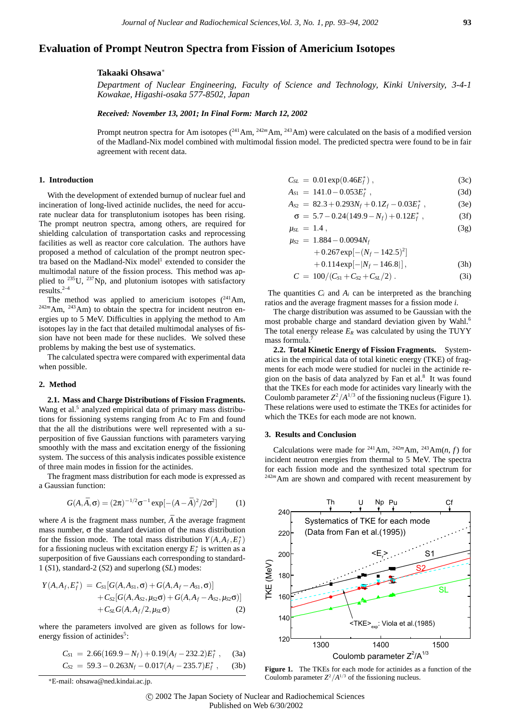# **Evaluation of Prompt Neutron Spectra from Fission of Americium Isotopes**

### **Takaaki Ohsawa**<sup>∗</sup>

*Department of Nuclear Engineering, Faculty of Science and Technology, Kinki University, 3-4-1 Kowakae, Higashi-osaka 577-8502, Japan*

## *Received: November 13, 2001; In Final Form: March 12, 2002*

Prompt neutron spectra for Am isotopes ( $^{241}$ Am,  $^{242m}$ Am,  $^{243}$ Am) were calculated on the basis of a modified version of the Madland-Nix model combined with multimodal fission model. The predicted spectra were found to be in fair agreement with recent data.

#### **1. Introduction**

With the development of extended burnup of nuclear fuel and incineration of long-lived actinide nuclides, the need for accurate nuclear data for transplutonium isotopes has been rising. The prompt neutron spectra, among others, are required for shielding calculation of transportation casks and reprocessing facilities as well as reactor core calculation. The authors have proposed a method of calculation of the prompt neutron spectra based on the Madland-Nix model<sup>1</sup> extended to consider the multimodal nature of the fission process. This method was applied to <sup>235</sup>U, <sup>237</sup>Np, and plutonium isotopes with satisfactory results. $2-4$ 

The method was applied to americium isotopes  $(^{241}Am,$ <sup>242m</sup>Am, <sup>243</sup>Am) to obtain the spectra for incident neutron energies up to 5 MeV. Difficulties in applying the method to Am isotopes lay in the fact that detailed multimodal analyses of fission have not been made for these nuclides. We solved these problems by making the best use of systematics.

The calculated spectra were compared with experimental data when possible.

#### **2. Method**

**2.1. Mass and Charge Distributions of Fission Fragments.** Wang et al.<sup>5</sup> analyzed empirical data of primary mass distributions for fissioning systems ranging from Ac to Fm and found that the all the distributions were well represented with a superposition of five Gaussian functions with parameters varying smoothly with the mass and excitation energy of the fissioning system. The success of this analysis indicates possible existence of three main modes in fission for the actinides.

The fragment mass distribution for each mode is expressed as a Gaussian function:

$$
G(A,\bar{A},\sigma) = (2\pi)^{-1/2}\sigma^{-1}\exp[-(A-\bar{A})^2/2\sigma^2]
$$
 (1)

where  $A$  is the fragment mass number,  $\overline{A}$  the average fragment mass number,  $\sigma$  the standard deviation of the mass distribution for the fission mode. The total mass distribution  $Y(A, A_f, E_f^*)$ for a fissioning nucleus with excitation energy  $E_f^*$  is written as a superposition of five Gaussians each corresponding to standard-1 (*S*1), standard-2 (*S*2) and superlong (*SL*) modes:

$$
Y(A, A_f, E_f^*) = C_{S1}[G(A, A_{S1}, \sigma) + G(A, A_f - A_{S1}, \sigma)] + C_{S2}[G(A, A_{S2}, \mu_{S2}\sigma) + G(A, A_f - A_{S2}, \mu_{S2}\sigma)] + C_{S2}[G(A, A_f/2, \mu_{S2}\sigma) \qquad (2)
$$

where the parameters involved are given as follows for lowenergy fission of actinides<sup>5</sup>:

$$
C_{S1} = 2.66(169.9 - N_f) + 0.19(A_f - 232.2)E_f^*,
$$
 (3a)

$$
C_{S2} = 59.3 - 0.263N_f - 0.017(A_f - 235.7)E_f^*,
$$
 (3b)

$$
C_{SL} = 0.01 \exp(0.46E_f^*) , \qquad (3c)
$$

$$
A_{S1} = 141.0 - 0.053E_f^*, \qquad (3d)
$$

$$
A_{S2} = 82.3 + 0.293N_f + 0.1Z_f - 0.03E_f^*,
$$
 (3e)

$$
\sigma = 5.7 - 0.24(149.9 - N_f) + 0.12E_f^*, \qquad (3f)
$$

$$
\mu_{SL} = 1.4 \,, \tag{3g}
$$

$$
\mu_{S2} = 1.884 - 0.0094N_f + 0.267 \exp[-(N_f - 142.5)^2]
$$

$$
+ 0.114 \exp[-|N_f - 146.8|], \tag{3h}
$$

$$
C = 100/(C_{S1} + C_{S2} + C_{SL}/2) \ . \tag{31}
$$

The quantities  $C_i$  and  $A_i$  can be interpreted as the branching ratios and the average fragment masses for a fission mode *i*.

The charge distribution was assumed to be Gaussian with the most probable charge and standard deviation given by Wahl.<sup>6</sup> The total energy release  $E_R$  was calculated by using the TUYY mass formula.<sup>7</sup>

**2.2. Total Kinetic Energy of Fission Fragments.** Systematics in the empirical data of total kinetic energy (TKE) of fragments for each mode were studied for nuclei in the actinide region on the basis of data analyzed by Fan et al.<sup>8</sup> It was found that the TKEs for each mode for actinides vary linearly with the Coulomb parameter  $Z^2/A^{1/3}$  of the fissioning nucleus (Figure 1). These relations were used to estimate the TKEs for actinides for which the TKEs for each mode are not known.

### **3. Results and Conclusion**

Calculations were made for <sup>241</sup>Am, <sup>242*m*</sup>Am, <sup>243</sup>Am(*n*, *f*) for incident neutron energies from thermal to 5 MeV. The spectra for each fission mode and the synthesized total spectrum for <sup>242m</sup>Am are shown and compared with recent measurement by



Figure 1. The TKEs for each mode for actinides as a function of the Coulomb parameter  $Z^2/A^{1/3}$  of the fissioning nucleus.

<sup>∗</sup>E-mail: ohsawa@ned.kindai.ac.jp.

c 2002 The Japan Society of Nuclear and Radiochemical Sciences Published on Web 6/30/2002